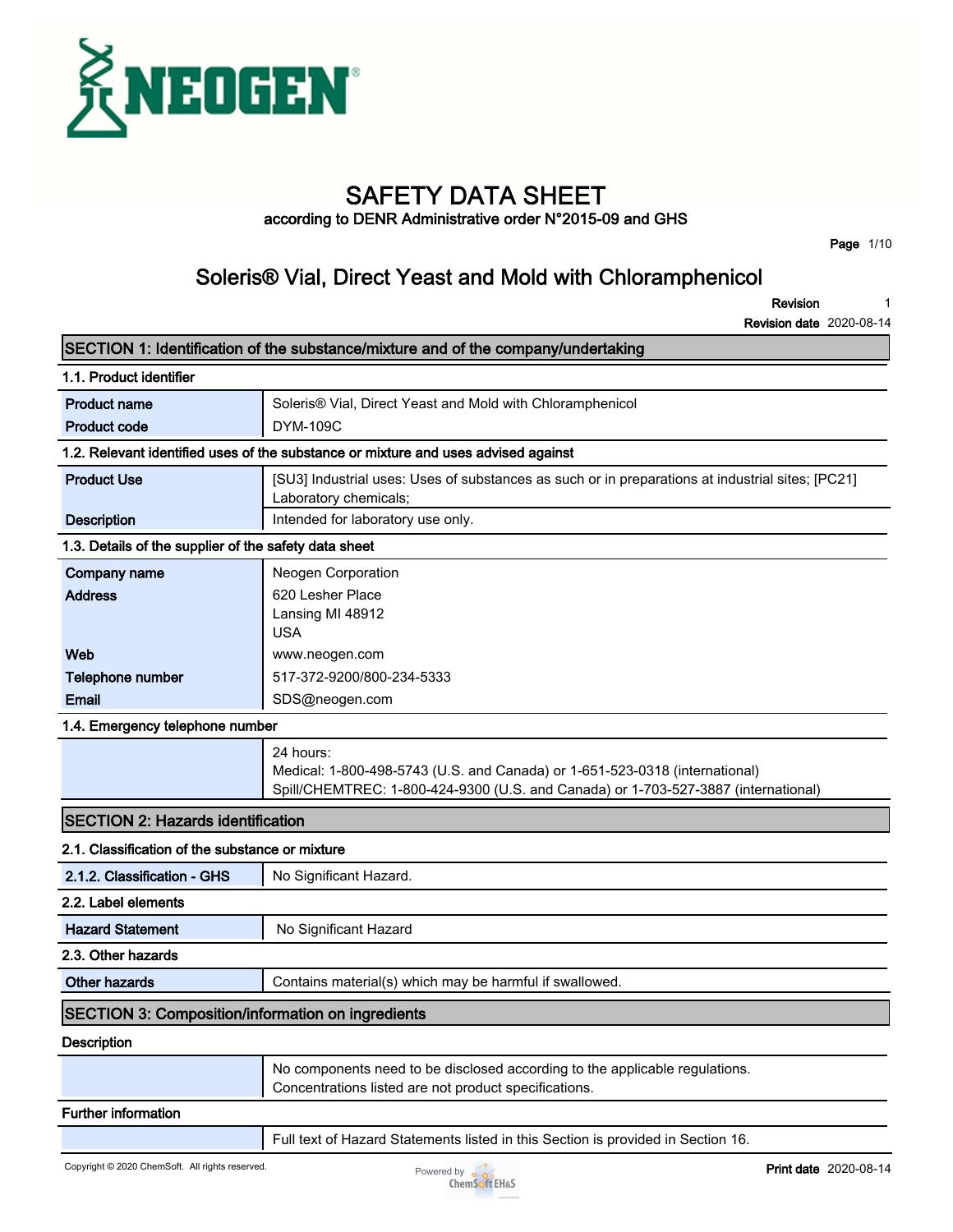

# **SAFETY DATA SHEET**

**according to DENR Administrative order N°2015-09 and GHS**

**Page 1/10**

### **Soleris® Vial, Direct Yeast and Mold with Chloramphenicol**

**Revision 1**

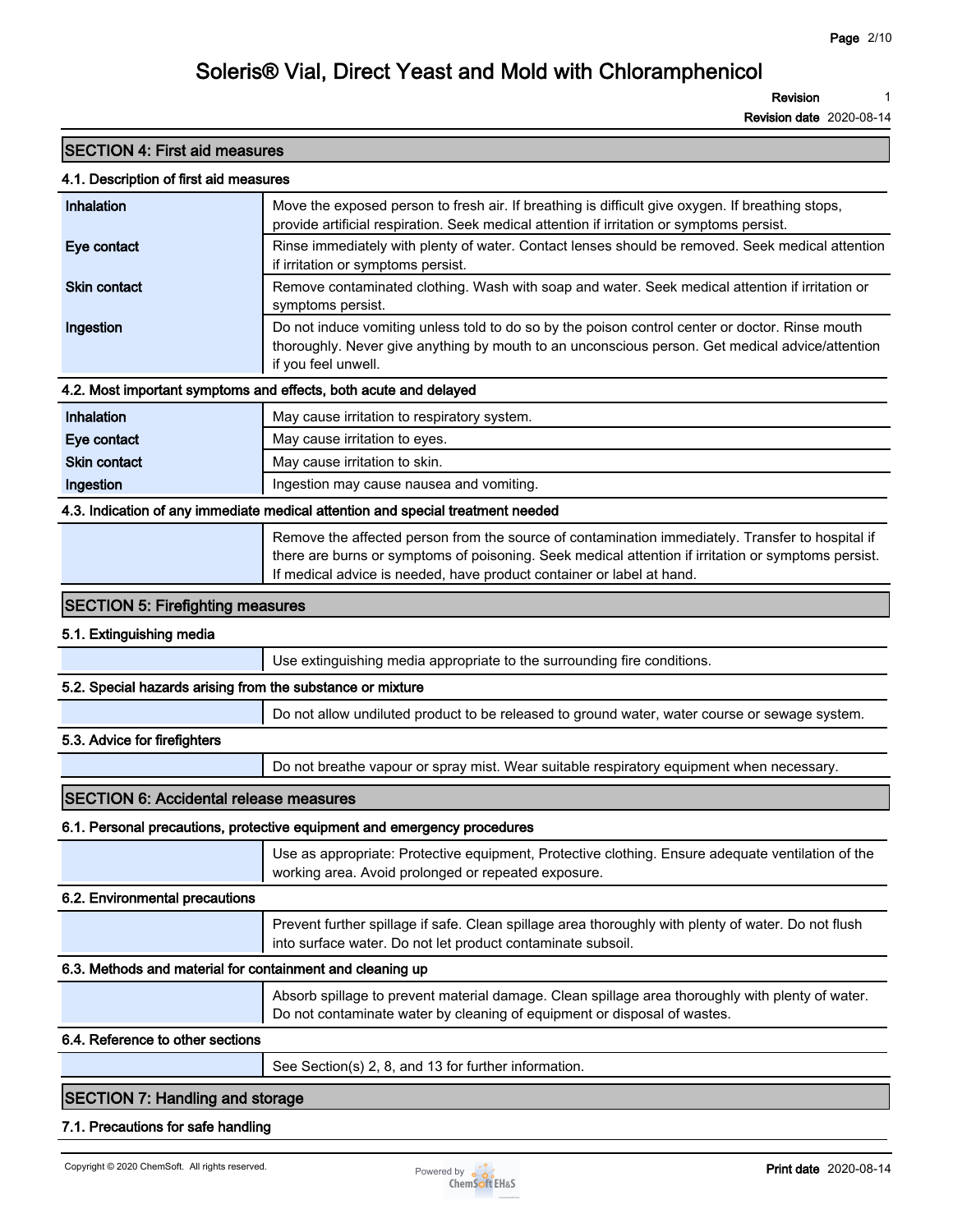**Revision 1**

**Revision date 2020-08-14**

| <b>SECTION 4: First aid measures</b>                       |                                                                                                                                                                                               |
|------------------------------------------------------------|-----------------------------------------------------------------------------------------------------------------------------------------------------------------------------------------------|
| 4.1. Description of first aid measures                     |                                                                                                                                                                                               |
| Inhalation                                                 | Move the exposed person to fresh air. If breathing is difficult give oxygen. If breathing stops,<br>provide artificial respiration. Seek medical attention if irritation or symptoms persist. |
| Eye contact                                                | Rinse immediately with plenty of water. Contact lenses should be removed. Seek medical attention                                                                                              |
|                                                            | if irritation or symptoms persist.                                                                                                                                                            |
| <b>Skin contact</b>                                        | Remove contaminated clothing. Wash with soap and water. Seek medical attention if irritation or                                                                                               |
|                                                            | symptoms persist.                                                                                                                                                                             |
| Ingestion                                                  | Do not induce vomiting unless told to do so by the poison control center or doctor. Rinse mouth                                                                                               |
|                                                            | thoroughly. Never give anything by mouth to an unconscious person. Get medical advice/attention<br>if you feel unwell.                                                                        |
|                                                            | 4.2. Most important symptoms and effects, both acute and delayed                                                                                                                              |
| Inhalation                                                 | May cause irritation to respiratory system.                                                                                                                                                   |
| Eye contact                                                | May cause irritation to eyes.                                                                                                                                                                 |
| <b>Skin contact</b>                                        | May cause irritation to skin.                                                                                                                                                                 |
| Ingestion                                                  | Ingestion may cause nausea and vomiting.                                                                                                                                                      |
|                                                            | 4.3. Indication of any immediate medical attention and special treatment needed                                                                                                               |
|                                                            | Remove the affected person from the source of contamination immediately. Transfer to hospital if                                                                                              |
|                                                            | there are burns or symptoms of poisoning. Seek medical attention if irritation or symptoms persist.                                                                                           |
|                                                            | If medical advice is needed, have product container or label at hand.                                                                                                                         |
| <b>SECTION 5: Firefighting measures</b>                    |                                                                                                                                                                                               |
| 5.1. Extinguishing media                                   |                                                                                                                                                                                               |
|                                                            | Use extinguishing media appropriate to the surrounding fire conditions.                                                                                                                       |
| 5.2. Special hazards arising from the substance or mixture |                                                                                                                                                                                               |
|                                                            | Do not allow undiluted product to be released to ground water, water course or sewage system.                                                                                                 |
| 5.3. Advice for firefighters                               |                                                                                                                                                                                               |
|                                                            | Do not breathe vapour or spray mist. Wear suitable respiratory equipment when necessary.                                                                                                      |
| <b>SECTION 6: Accidental release measures</b>              |                                                                                                                                                                                               |
|                                                            | 6.1. Personal precautions, protective equipment and emergency procedures                                                                                                                      |
|                                                            | Use as appropriate: Protective equipment, Protective clothing. Ensure adequate ventilation of the                                                                                             |
|                                                            | working area. Avoid prolonged or repeated exposure.                                                                                                                                           |
| 6.2. Environmental precautions                             |                                                                                                                                                                                               |
|                                                            | Prevent further spillage if safe. Clean spillage area thoroughly with plenty of water. Do not flush                                                                                           |
|                                                            | into surface water. Do not let product contaminate subsoil.                                                                                                                                   |
| 6.3. Methods and material for containment and cleaning up  |                                                                                                                                                                                               |
|                                                            | Absorb spillage to prevent material damage. Clean spillage area thoroughly with plenty of water.                                                                                              |
|                                                            | Do not contaminate water by cleaning of equipment or disposal of wastes.                                                                                                                      |
| 6.4. Reference to other sections                           |                                                                                                                                                                                               |
|                                                            | See Section(s) 2, 8, and 13 for further information.                                                                                                                                          |
| <b>SECTION 7: Handling and storage</b>                     |                                                                                                                                                                                               |

**7.1. Precautions for safe handling**

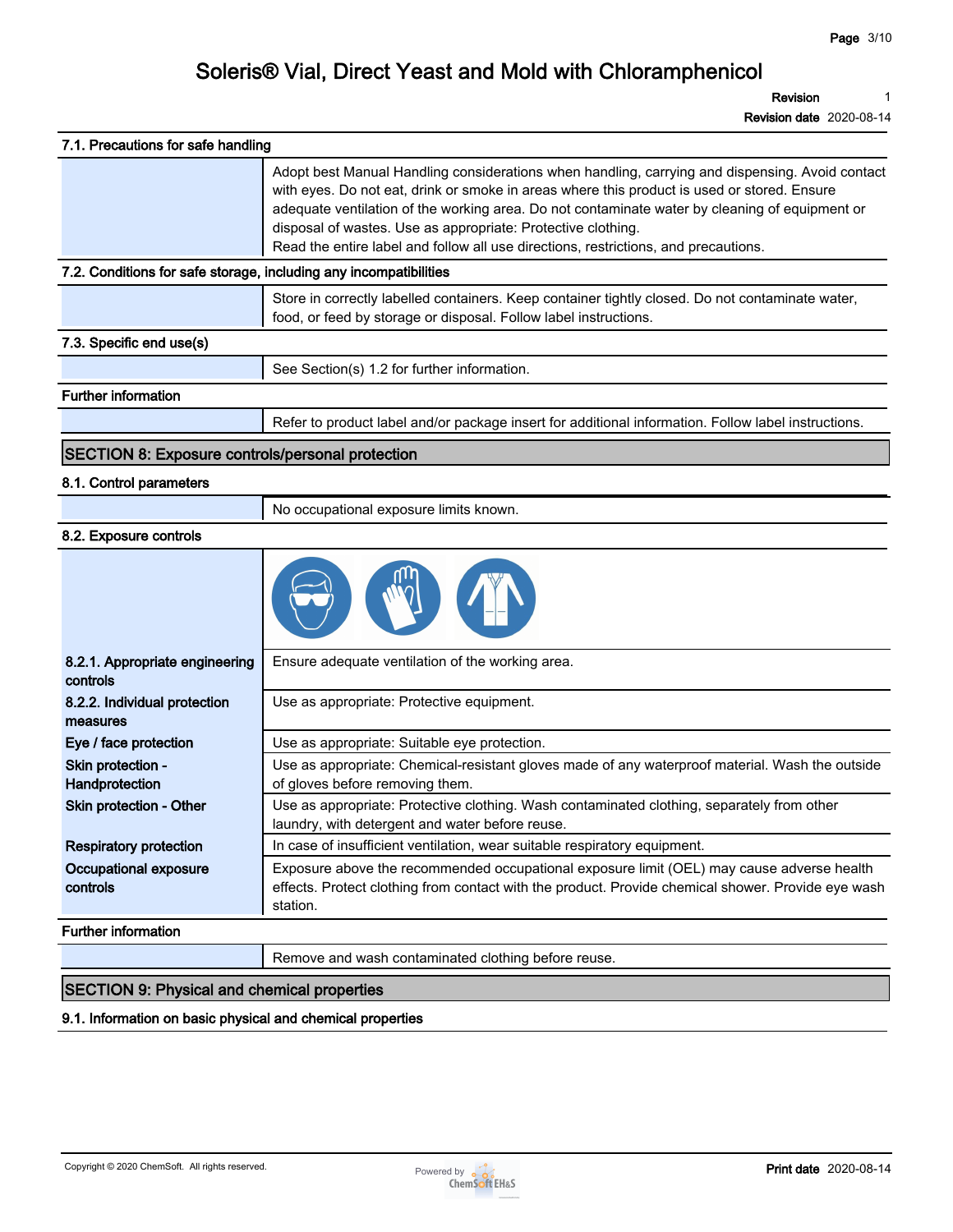**Revision 1**

**Revision date 2020-08-14**

| 7.1. Precautions for safe handling                                |                                                                                                                                                                                                                                                                                                                                                                                                                                                         |
|-------------------------------------------------------------------|---------------------------------------------------------------------------------------------------------------------------------------------------------------------------------------------------------------------------------------------------------------------------------------------------------------------------------------------------------------------------------------------------------------------------------------------------------|
|                                                                   | Adopt best Manual Handling considerations when handling, carrying and dispensing. Avoid contact<br>with eyes. Do not eat, drink or smoke in areas where this product is used or stored. Ensure<br>adequate ventilation of the working area. Do not contaminate water by cleaning of equipment or<br>disposal of wastes. Use as appropriate: Protective clothing.<br>Read the entire label and follow all use directions, restrictions, and precautions. |
| 7.2. Conditions for safe storage, including any incompatibilities |                                                                                                                                                                                                                                                                                                                                                                                                                                                         |
|                                                                   | Store in correctly labelled containers. Keep container tightly closed. Do not contaminate water,<br>food, or feed by storage or disposal. Follow label instructions.                                                                                                                                                                                                                                                                                    |
| 7.3. Specific end use(s)                                          |                                                                                                                                                                                                                                                                                                                                                                                                                                                         |
|                                                                   | See Section(s) 1.2 for further information.                                                                                                                                                                                                                                                                                                                                                                                                             |
| <b>Further information</b>                                        |                                                                                                                                                                                                                                                                                                                                                                                                                                                         |
|                                                                   | Refer to product label and/or package insert for additional information. Follow label instructions.                                                                                                                                                                                                                                                                                                                                                     |
| <b>SECTION 8: Exposure controls/personal protection</b>           |                                                                                                                                                                                                                                                                                                                                                                                                                                                         |
| 8.1. Control parameters                                           |                                                                                                                                                                                                                                                                                                                                                                                                                                                         |
|                                                                   | No occupational exposure limits known.                                                                                                                                                                                                                                                                                                                                                                                                                  |
| 8.2. Exposure controls                                            |                                                                                                                                                                                                                                                                                                                                                                                                                                                         |
|                                                                   |                                                                                                                                                                                                                                                                                                                                                                                                                                                         |
| 8.2.1. Appropriate engineering<br>controls                        | Ensure adequate ventilation of the working area.                                                                                                                                                                                                                                                                                                                                                                                                        |
| 8.2.2. Individual protection<br>measures                          | Use as appropriate: Protective equipment.                                                                                                                                                                                                                                                                                                                                                                                                               |
| Eye / face protection                                             | Use as appropriate: Suitable eye protection.                                                                                                                                                                                                                                                                                                                                                                                                            |
| Skin protection -<br>Handprotection                               | Use as appropriate: Chemical-resistant gloves made of any waterproof material. Wash the outside<br>of gloves before removing them.                                                                                                                                                                                                                                                                                                                      |
| Skin protection - Other                                           | Use as appropriate: Protective clothing. Wash contaminated clothing, separately from other                                                                                                                                                                                                                                                                                                                                                              |
|                                                                   | laundry, with detergent and water before reuse.                                                                                                                                                                                                                                                                                                                                                                                                         |
| <b>Respiratory protection</b>                                     | In case of insufficient ventilation, wear suitable respiratory equipment.                                                                                                                                                                                                                                                                                                                                                                               |
| Occupational exposure<br>controls                                 | Exposure above the recommended occupational exposure limit (OEL) may cause adverse health<br>effects. Protect clothing from contact with the product. Provide chemical shower. Provide eye wash<br>station.                                                                                                                                                                                                                                             |
| <b>Further information</b>                                        |                                                                                                                                                                                                                                                                                                                                                                                                                                                         |

### **SECTION 9: Physical and chemical properties**

**9.1. Information on basic physical and chemical properties**

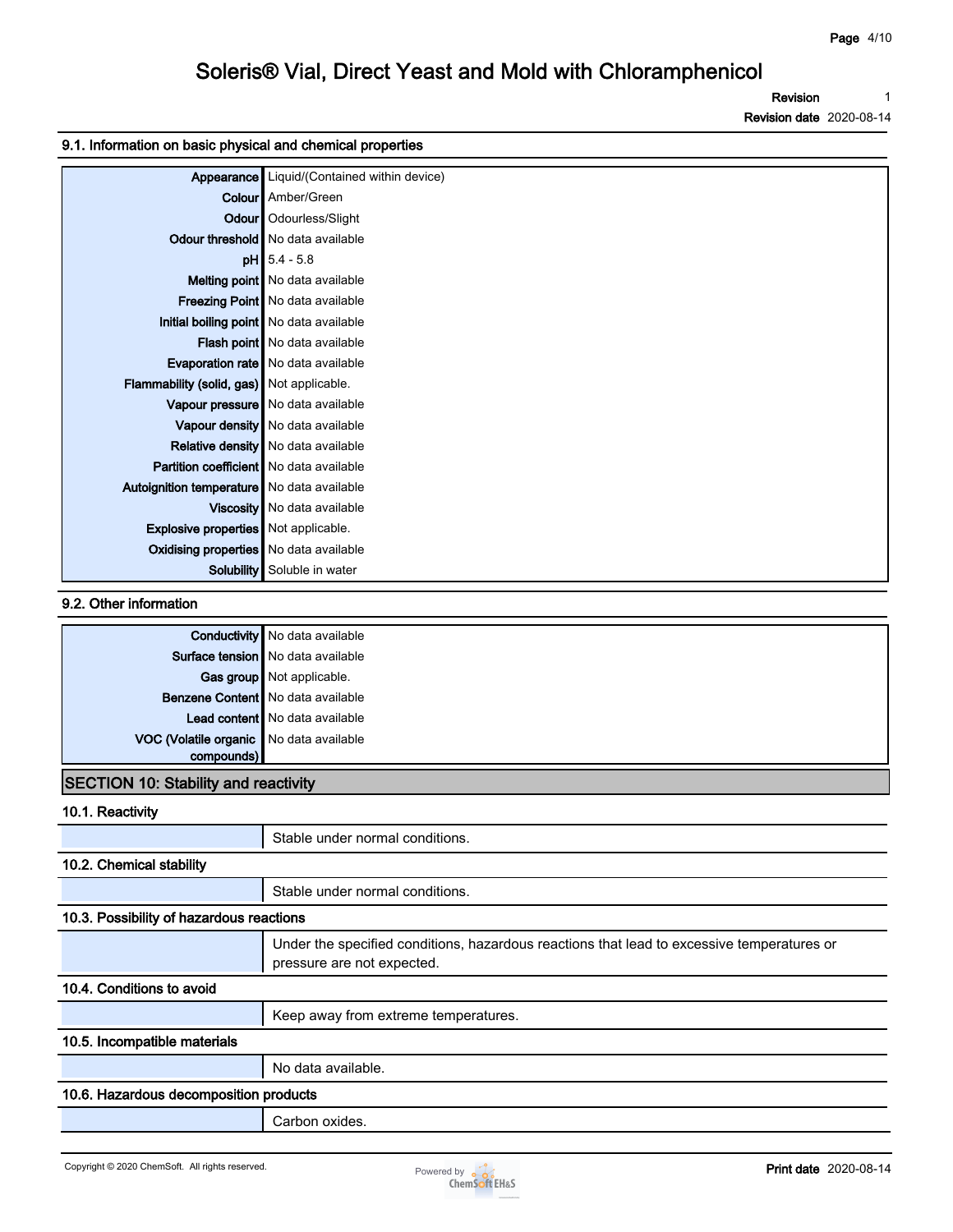**Revision 1**

**Revision date 2020-08-14**

#### **9.1. Information on basic physical and chemical properties**

| Appearance                                     | Liquid/(Contained within device)            |
|------------------------------------------------|---------------------------------------------|
|                                                | <b>Colour</b> Amber/Green                   |
|                                                | Odour   Odourless/Slight                    |
|                                                | Odour threshold   No data available         |
|                                                | $pH$ 5.4 - 5.8                              |
|                                                | Melting point   No data available           |
|                                                | Freezing Point   No data available          |
|                                                | Initial boiling point   No data available   |
|                                                | Flash point No data available               |
|                                                | <b>Evaporation rate</b>   No data available |
| Flammability (solid, gas) Not applicable.      |                                             |
|                                                | Vapour pressure   No data available         |
|                                                | Vapour density No data available            |
|                                                | Relative density   No data available        |
| <b>Partition coefficient</b> No data available |                                             |
| Autoignition temperature   No data available   |                                             |
|                                                | Viscosity   No data available               |
| <b>Explosive properties</b> Not applicable.    |                                             |
| <b>Oxidising properties</b> No data available  |                                             |
| Solubility                                     | Soluble in water                            |

#### **9.2. Other information**

|                                         | <b>Conductivity</b> No data available |
|-----------------------------------------|---------------------------------------|
|                                         | Surface tension   No data available   |
|                                         | Gas group Not applicable.             |
|                                         | Benzene Content   No data available   |
|                                         | Lead content   No data available      |
| VOC (Volatile organic No data available |                                       |
| compounds)                              |                                       |

### **SECTION 10: Stability and reactivity**

**10.1. Reactivity**

|                                          | Stable under normal conditions.                                                                                          |
|------------------------------------------|--------------------------------------------------------------------------------------------------------------------------|
| 10.2. Chemical stability                 |                                                                                                                          |
|                                          | Stable under normal conditions.                                                                                          |
| 10.3. Possibility of hazardous reactions |                                                                                                                          |
|                                          | Under the specified conditions, hazardous reactions that lead to excessive temperatures or<br>pressure are not expected. |
| 10.4. Conditions to avoid                |                                                                                                                          |
|                                          | Keep away from extreme temperatures.                                                                                     |
| 10.5. Incompatible materials             |                                                                                                                          |
|                                          | No data available.                                                                                                       |
| 10.6. Hazardous decomposition products   |                                                                                                                          |
|                                          | Carbon oxides.                                                                                                           |

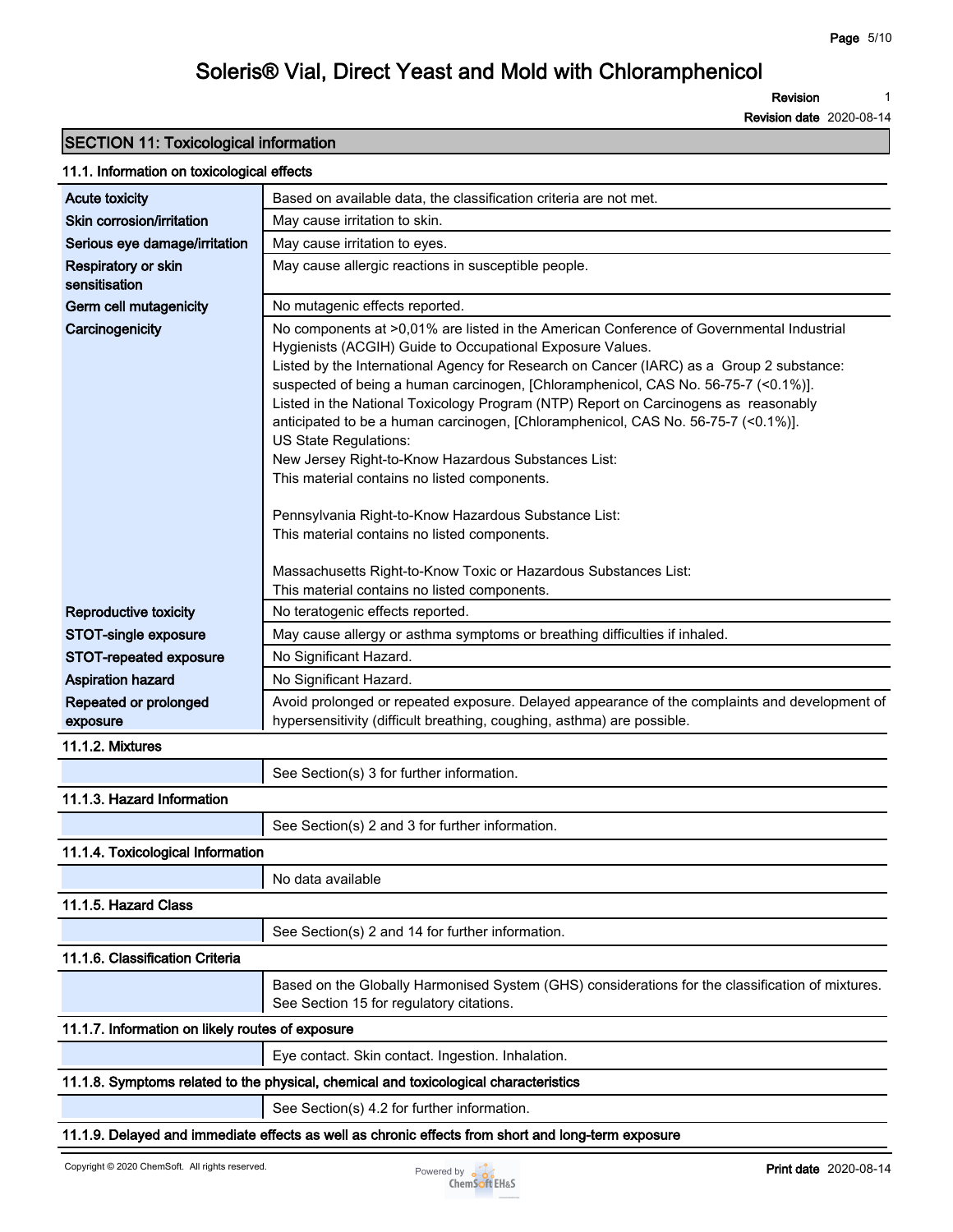**Revision 1**

**Revision date 2020-08-14**

### **SECTION 11: Toxicological information**

#### **11.1. Information on toxicological effects**

| Acute toxicity                                   | Based on available data, the classification criteria are not met.                                          |
|--------------------------------------------------|------------------------------------------------------------------------------------------------------------|
| Skin corrosion/irritation                        | May cause irritation to skin.                                                                              |
| Serious eye damage/irritation                    | May cause irritation to eyes.                                                                              |
| Respiratory or skin<br>sensitisation             | May cause allergic reactions in susceptible people.                                                        |
| Germ cell mutagenicity                           | No mutagenic effects reported.                                                                             |
| Carcinogenicity                                  | No components at >0,01% are listed in the American Conference of Governmental Industrial                   |
|                                                  | Hygienists (ACGIH) Guide to Occupational Exposure Values.                                                  |
|                                                  | Listed by the International Agency for Research on Cancer (IARC) as a Group 2 substance:                   |
|                                                  | suspected of being a human carcinogen, [Chloramphenicol, CAS No. 56-75-7 (<0.1%)].                         |
|                                                  | Listed in the National Toxicology Program (NTP) Report on Carcinogens as reasonably                        |
|                                                  | anticipated to be a human carcinogen, [Chloramphenicol, CAS No. 56-75-7 (<0.1%)].<br>US State Regulations: |
|                                                  | New Jersey Right-to-Know Hazardous Substances List:                                                        |
|                                                  | This material contains no listed components.                                                               |
|                                                  |                                                                                                            |
|                                                  | Pennsylvania Right-to-Know Hazardous Substance List:                                                       |
|                                                  | This material contains no listed components.                                                               |
|                                                  | Massachusetts Right-to-Know Toxic or Hazardous Substances List:                                            |
|                                                  | This material contains no listed components.                                                               |
| <b>Reproductive toxicity</b>                     | No teratogenic effects reported.                                                                           |
| STOT-single exposure                             | May cause allergy or asthma symptoms or breathing difficulties if inhaled.                                 |
| STOT-repeated exposure                           | No Significant Hazard.                                                                                     |
| <b>Aspiration hazard</b>                         | No Significant Hazard.                                                                                     |
| Repeated or prolonged                            | Avoid prolonged or repeated exposure. Delayed appearance of the complaints and development of              |
| exposure                                         | hypersensitivity (difficult breathing, coughing, asthma) are possible.                                     |
| 11.1.2. Mixtures                                 |                                                                                                            |
|                                                  | See Section(s) 3 for further information.                                                                  |
| 11.1.3. Hazard Information                       |                                                                                                            |
|                                                  | See Section(s) 2 and 3 for further information.                                                            |
| 11.1.4. Toxicological Information                |                                                                                                            |
|                                                  | No data available                                                                                          |
| 11.1.5. Hazard Class                             |                                                                                                            |
|                                                  | See Section(s) 2 and 14 for further information.                                                           |
| 11.1.6. Classification Criteria                  |                                                                                                            |
|                                                  | Based on the Globally Harmonised System (GHS) considerations for the classification of mixtures.           |
|                                                  | See Section 15 for regulatory citations.                                                                   |
| 11.1.7. Information on likely routes of exposure |                                                                                                            |
|                                                  | Eye contact. Skin contact. Ingestion. Inhalation.                                                          |
|                                                  | 11.1.8. Symptoms related to the physical, chemical and toxicological characteristics                       |
|                                                  | See Section(s) 4.2 for further information.                                                                |
|                                                  | 11.1.9. Delayed and immediate effects as well as chronic effects from short and long-term exposure         |

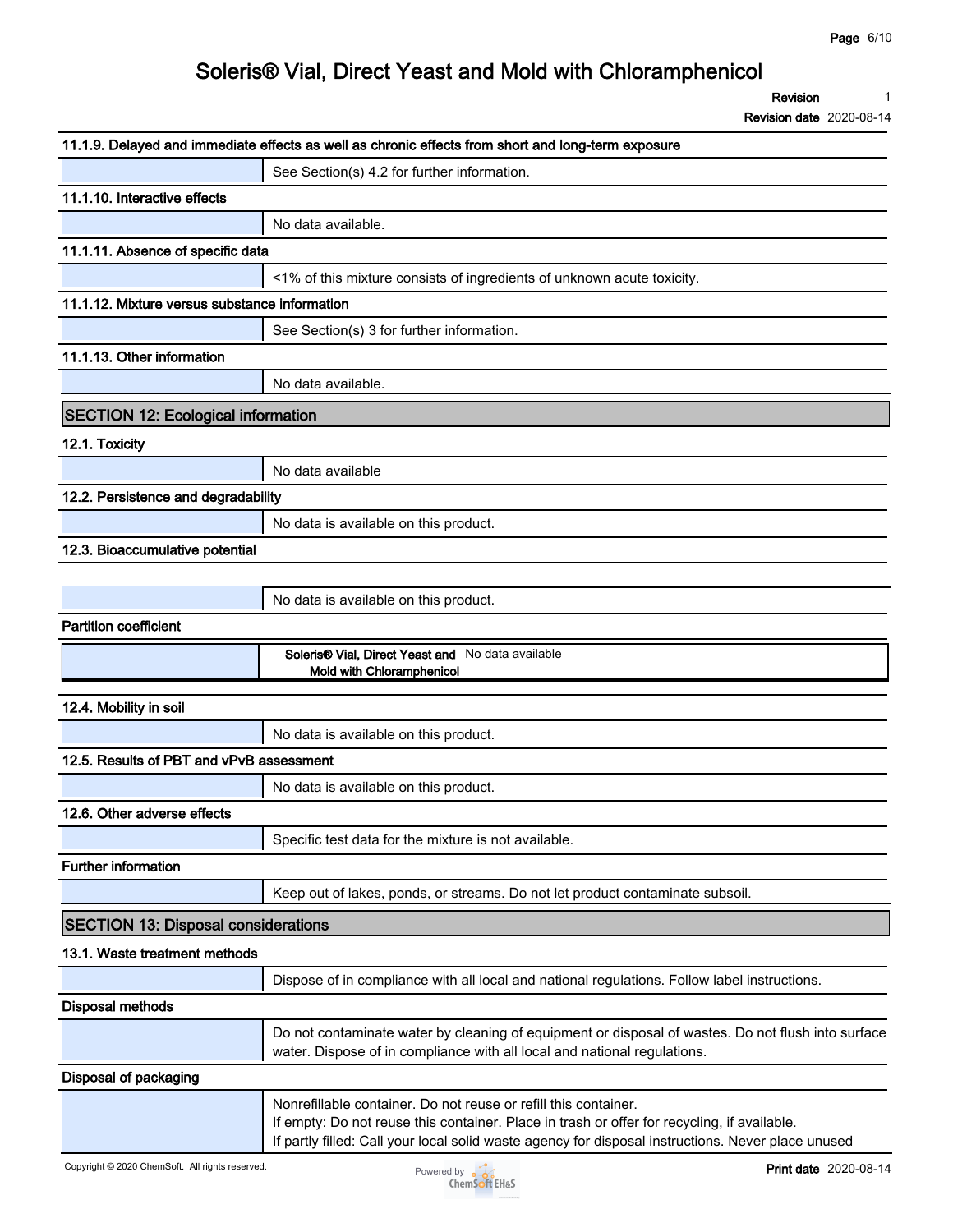**Revision 1**

|                                               | 11.1.9. Delayed and immediate effects as well as chronic effects from short and long-term exposure                                                                                                                                                                   |
|-----------------------------------------------|----------------------------------------------------------------------------------------------------------------------------------------------------------------------------------------------------------------------------------------------------------------------|
|                                               | See Section(s) 4.2 for further information.                                                                                                                                                                                                                          |
| 11.1.10. Interactive effects                  |                                                                                                                                                                                                                                                                      |
|                                               | No data available.                                                                                                                                                                                                                                                   |
| 11.1.11. Absence of specific data             |                                                                                                                                                                                                                                                                      |
|                                               | <1% of this mixture consists of ingredients of unknown acute toxicity.                                                                                                                                                                                               |
| 11.1.12. Mixture versus substance information |                                                                                                                                                                                                                                                                      |
|                                               | See Section(s) 3 for further information.                                                                                                                                                                                                                            |
| 11.1.13. Other information                    |                                                                                                                                                                                                                                                                      |
|                                               | No data available.                                                                                                                                                                                                                                                   |
| <b>SECTION 12: Ecological information</b>     |                                                                                                                                                                                                                                                                      |
| 12.1. Toxicity                                |                                                                                                                                                                                                                                                                      |
|                                               | No data available                                                                                                                                                                                                                                                    |
| 12.2. Persistence and degradability           |                                                                                                                                                                                                                                                                      |
|                                               | No data is available on this product.                                                                                                                                                                                                                                |
| 12.3. Bioaccumulative potential               |                                                                                                                                                                                                                                                                      |
|                                               |                                                                                                                                                                                                                                                                      |
|                                               | No data is available on this product.                                                                                                                                                                                                                                |
| <b>Partition coefficient</b>                  |                                                                                                                                                                                                                                                                      |
|                                               | Soleris® Vial, Direct Yeast and No data available<br>Mold with Chloramphenicol                                                                                                                                                                                       |
| 12.4. Mobility in soil                        |                                                                                                                                                                                                                                                                      |
|                                               | No data is available on this product.                                                                                                                                                                                                                                |
| 12.5. Results of PBT and vPvB assessment      |                                                                                                                                                                                                                                                                      |
|                                               | No data is available on this product.                                                                                                                                                                                                                                |
| 12.6. Other adverse effects                   |                                                                                                                                                                                                                                                                      |
|                                               | Specific test data for the mixture is not available.                                                                                                                                                                                                                 |
| <b>Further information</b>                    |                                                                                                                                                                                                                                                                      |
|                                               | Keep out of lakes, ponds, or streams. Do not let product contaminate subsoil.                                                                                                                                                                                        |
| <b>SECTION 13: Disposal considerations</b>    |                                                                                                                                                                                                                                                                      |
| 13.1. Waste treatment methods                 |                                                                                                                                                                                                                                                                      |
|                                               | Dispose of in compliance with all local and national regulations. Follow label instructions.                                                                                                                                                                         |
| <b>Disposal methods</b>                       |                                                                                                                                                                                                                                                                      |
|                                               | Do not contaminate water by cleaning of equipment or disposal of wastes. Do not flush into surface<br>water. Dispose of in compliance with all local and national regulations.                                                                                       |
| Disposal of packaging                         |                                                                                                                                                                                                                                                                      |
|                                               | Nonrefillable container. Do not reuse or refill this container.<br>If empty: Do not reuse this container. Place in trash or offer for recycling, if available.<br>If partly filled: Call your local solid waste agency for disposal instructions. Never place unused |

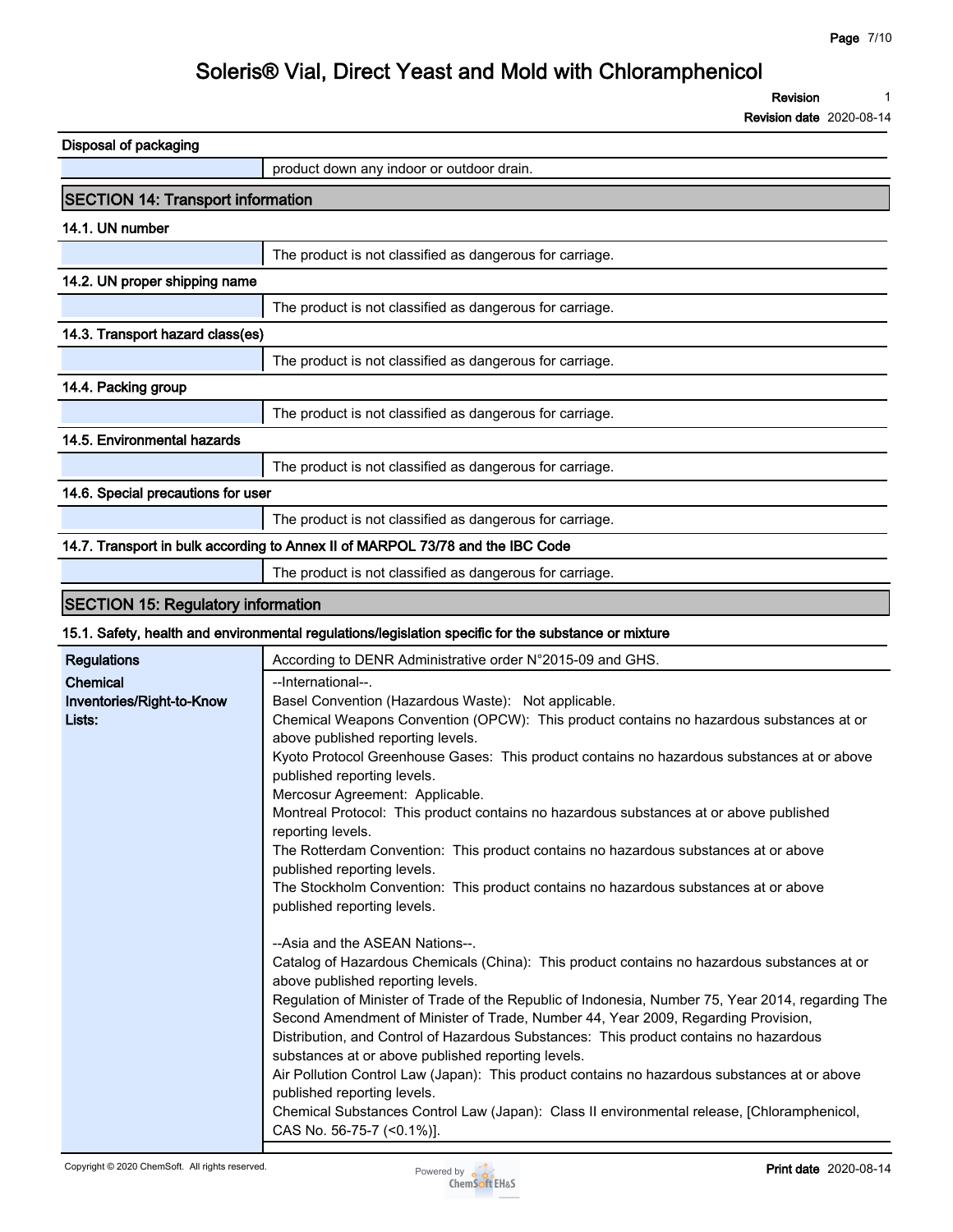**Revision 1**

**Revision date 2020-08-14**

| Disposal of packaging                                                          |                                                          |  |
|--------------------------------------------------------------------------------|----------------------------------------------------------|--|
|                                                                                | product down any indoor or outdoor drain.                |  |
| <b>SECTION 14: Transport information</b>                                       |                                                          |  |
| 14.1. UN number                                                                |                                                          |  |
|                                                                                | The product is not classified as dangerous for carriage. |  |
| 14.2. UN proper shipping name                                                  |                                                          |  |
|                                                                                | The product is not classified as dangerous for carriage. |  |
| 14.3. Transport hazard class(es)                                               |                                                          |  |
|                                                                                | The product is not classified as dangerous for carriage. |  |
| 14.4. Packing group                                                            |                                                          |  |
|                                                                                | The product is not classified as dangerous for carriage. |  |
| 14.5. Environmental hazards                                                    |                                                          |  |
|                                                                                | The product is not classified as dangerous for carriage. |  |
| 14.6. Special precautions for user                                             |                                                          |  |
|                                                                                | The product is not classified as dangerous for carriage. |  |
| 14.7. Transport in bulk according to Annex II of MARPOL 73/78 and the IBC Code |                                                          |  |
|                                                                                | The product is not classified as dangerous for carriage. |  |

### **SECTION 15: Regulatory information**

#### **15.1. Safety, health and environmental regulations/legislation specific for the substance or mixture**

| <b>Regulations</b>        | According to DENR Administrative order N°2015-09 and GHS.                                                                        |
|---------------------------|----------------------------------------------------------------------------------------------------------------------------------|
| Chemical                  | --International--.                                                                                                               |
| Inventories/Right-to-Know | Basel Convention (Hazardous Waste): Not applicable.                                                                              |
| Lists:                    | Chemical Weapons Convention (OPCW): This product contains no hazardous substances at or                                          |
|                           | above published reporting levels.                                                                                                |
|                           | Kyoto Protocol Greenhouse Gases: This product contains no hazardous substances at or above                                       |
|                           | published reporting levels.                                                                                                      |
|                           | Mercosur Agreement: Applicable.                                                                                                  |
|                           | Montreal Protocol: This product contains no hazardous substances at or above published<br>reporting levels.                      |
|                           | The Rotterdam Convention: This product contains no hazardous substances at or above                                              |
|                           | published reporting levels.                                                                                                      |
|                           | The Stockholm Convention: This product contains no hazardous substances at or above                                              |
|                           | published reporting levels.                                                                                                      |
|                           | --Asia and the ASEAN Nations--.                                                                                                  |
|                           | Catalog of Hazardous Chemicals (China): This product contains no hazardous substances at or<br>above published reporting levels. |
|                           | Regulation of Minister of Trade of the Republic of Indonesia, Number 75, Year 2014, regarding The                                |
|                           | Second Amendment of Minister of Trade, Number 44, Year 2009, Regarding Provision,                                                |
|                           | Distribution, and Control of Hazardous Substances: This product contains no hazardous                                            |
|                           | substances at or above published reporting levels.                                                                               |
|                           | Air Pollution Control Law (Japan): This product contains no hazardous substances at or above                                     |
|                           | published reporting levels.                                                                                                      |
|                           | Chemical Substances Control Law (Japan): Class II environmental release, [Chloramphenicol,                                       |
|                           | CAS No. 56-75-7 (<0.1%)].                                                                                                        |
|                           |                                                                                                                                  |

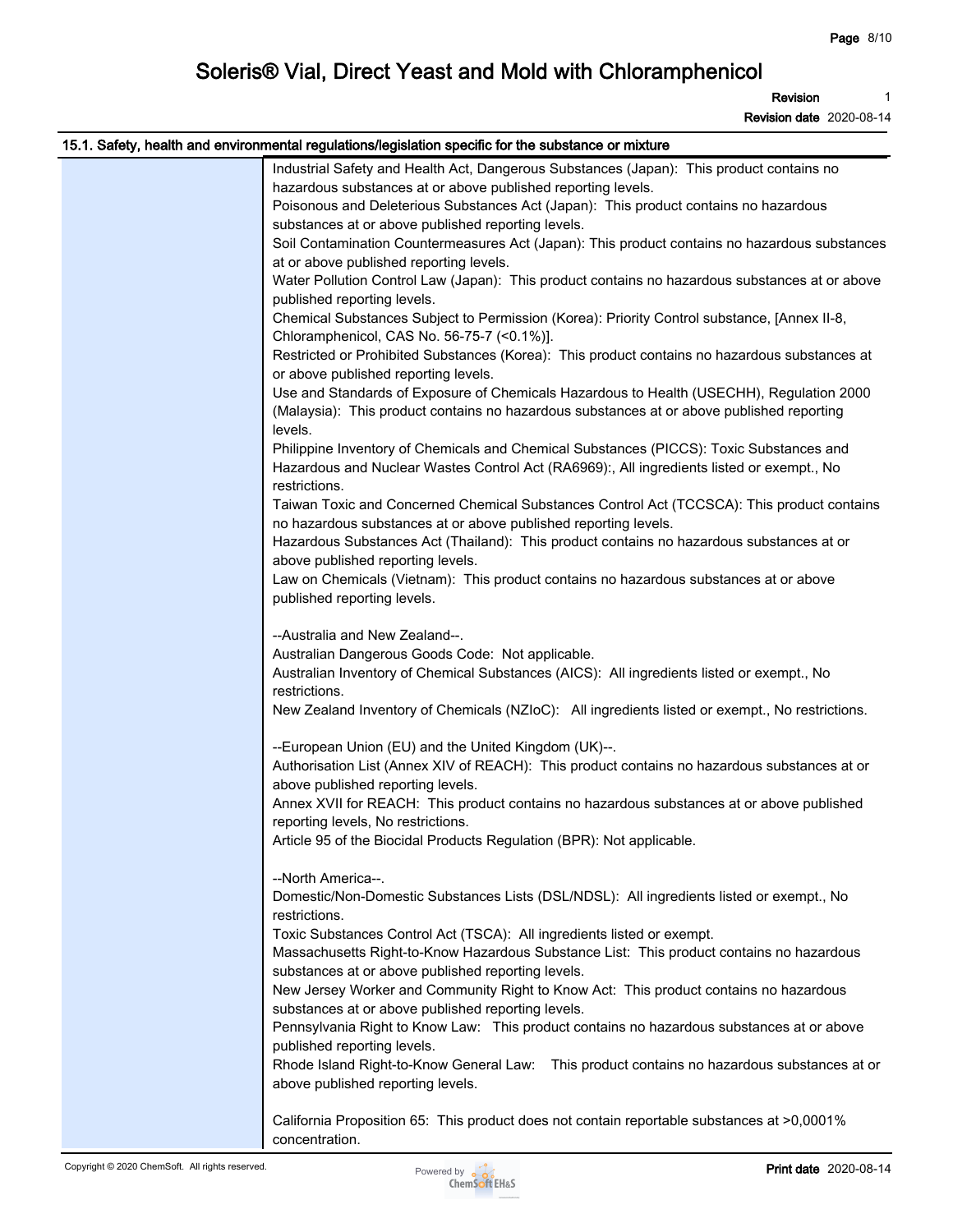**Revision 1**

| 15.1. Safety, health and environmental regulations/legislation specific for the substance or mixture |
|------------------------------------------------------------------------------------------------------|
| Industrial Safety and Health Act, Dangerous Substances (Japan): This product contains no             |
| hazardous substances at or above published reporting levels.                                         |
| Poisonous and Deleterious Substances Act (Japan): This product contains no hazardous                 |
| substances at or above published reporting levels.                                                   |
| Soil Contamination Countermeasures Act (Japan): This product contains no hazardous substances        |
| at or above published reporting levels.                                                              |
| Water Pollution Control Law (Japan): This product contains no hazardous substances at or above       |
| published reporting levels.                                                                          |
| Chemical Substances Subject to Permission (Korea): Priority Control substance, [Annex II-8,          |
| Chloramphenicol, CAS No. 56-75-7 (<0.1%)].                                                           |
| Restricted or Prohibited Substances (Korea): This product contains no hazardous substances at        |
| or above published reporting levels.                                                                 |
| Use and Standards of Exposure of Chemicals Hazardous to Health (USECHH), Regulation 2000             |
| (Malaysia): This product contains no hazardous substances at or above published reporting            |
| levels.                                                                                              |
| Philippine Inventory of Chemicals and Chemical Substances (PICCS): Toxic Substances and              |
| Hazardous and Nuclear Wastes Control Act (RA6969):, All ingredients listed or exempt., No            |
| restrictions.                                                                                        |
| Taiwan Toxic and Concerned Chemical Substances Control Act (TCCSCA): This product contains           |
| no hazardous substances at or above published reporting levels.                                      |
| Hazardous Substances Act (Thailand): This product contains no hazardous substances at or             |
| above published reporting levels.                                                                    |
| Law on Chemicals (Vietnam): This product contains no hazardous substances at or above                |
| published reporting levels.                                                                          |
|                                                                                                      |
| --Australia and New Zealand--.                                                                       |
| Australian Dangerous Goods Code: Not applicable.                                                     |
| Australian Inventory of Chemical Substances (AICS): All ingredients listed or exempt., No            |
| restrictions.                                                                                        |
| New Zealand Inventory of Chemicals (NZIoC): All ingredients listed or exempt., No restrictions.      |
|                                                                                                      |
| --European Union (EU) and the United Kingdom (UK)--.                                                 |
| Authorisation List (Annex XIV of REACH): This product contains no hazardous substances at or         |
| above published reporting levels.                                                                    |
| Annex XVII for REACH: This product contains no hazardous substances at or above published            |
| reporting levels, No restrictions.                                                                   |
| Article 95 of the Biocidal Products Regulation (BPR): Not applicable.                                |
|                                                                                                      |
| --North America--.                                                                                   |
| Domestic/Non-Domestic Substances Lists (DSL/NDSL): All ingredients listed or exempt., No             |
| restrictions.                                                                                        |
| Toxic Substances Control Act (TSCA): All ingredients listed or exempt.                               |
| Massachusetts Right-to-Know Hazardous Substance List: This product contains no hazardous             |
| substances at or above published reporting levels.                                                   |
| New Jersey Worker and Community Right to Know Act: This product contains no hazardous                |
| substances at or above published reporting levels.                                                   |
| Pennsylvania Right to Know Law: This product contains no hazardous substances at or above            |
| published reporting levels.                                                                          |
| Rhode Island Right-to-Know General Law: This product contains no hazardous substances at or          |
| above published reporting levels.                                                                    |
|                                                                                                      |
| California Proposition 65: This product does not contain reportable substances at >0,0001%           |
| concentration.                                                                                       |

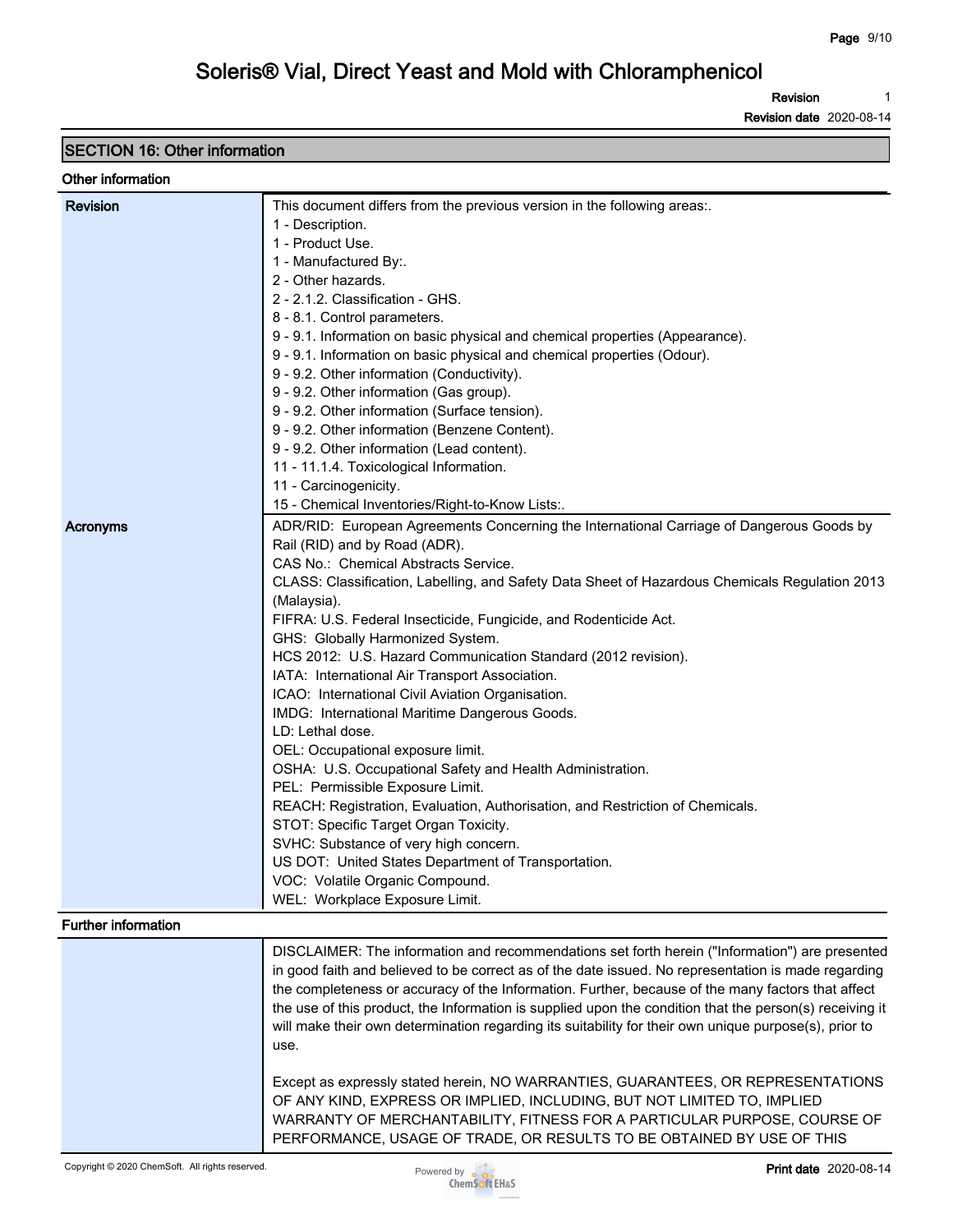**Revision 1**

**Revision date 2020-08-14**

### **SECTION 16: Other information**

#### **Other information**

| <b>Revision</b>     | This document differs from the previous version in the following areas.                                 |
|---------------------|---------------------------------------------------------------------------------------------------------|
|                     | 1 - Description.                                                                                        |
|                     | 1 - Product Use.                                                                                        |
|                     | 1 - Manufactured By:.                                                                                   |
|                     | 2 - Other hazards.                                                                                      |
|                     | 2 - 2.1.2. Classification - GHS.                                                                        |
|                     | 8 - 8.1. Control parameters.                                                                            |
|                     | 9 - 9.1. Information on basic physical and chemical properties (Appearance).                            |
|                     | 9 - 9.1. Information on basic physical and chemical properties (Odour).                                 |
|                     | 9 - 9.2. Other information (Conductivity).                                                              |
|                     | 9 - 9.2. Other information (Gas group).                                                                 |
|                     | 9 - 9.2. Other information (Surface tension).                                                           |
|                     | 9 - 9.2. Other information (Benzene Content).                                                           |
|                     | 9 - 9.2. Other information (Lead content).                                                              |
|                     | 11 - 11.1.4. Toxicological Information.                                                                 |
|                     | 11 - Carcinogenicity.                                                                                   |
|                     | 15 - Chemical Inventories/Right-to-Know Lists:.                                                         |
|                     |                                                                                                         |
| Acronyms            | ADR/RID: European Agreements Concerning the International Carriage of Dangerous Goods by                |
|                     | Rail (RID) and by Road (ADR).                                                                           |
|                     | CAS No.: Chemical Abstracts Service.                                                                    |
|                     | CLASS: Classification, Labelling, and Safety Data Sheet of Hazardous Chemicals Regulation 2013          |
|                     | (Malaysia).                                                                                             |
|                     | FIFRA: U.S. Federal Insecticide, Fungicide, and Rodenticide Act.                                        |
|                     | GHS: Globally Harmonized System.                                                                        |
|                     | HCS 2012: U.S. Hazard Communication Standard (2012 revision).                                           |
|                     | IATA: International Air Transport Association.                                                          |
|                     | ICAO: International Civil Aviation Organisation.                                                        |
|                     | IMDG: International Maritime Dangerous Goods.                                                           |
|                     | LD: Lethal dose.                                                                                        |
|                     | OEL: Occupational exposure limit.                                                                       |
|                     | OSHA: U.S. Occupational Safety and Health Administration.                                               |
|                     | PEL: Permissible Exposure Limit.                                                                        |
|                     | REACH: Registration, Evaluation, Authorisation, and Restriction of Chemicals.                           |
|                     | STOT: Specific Target Organ Toxicity.                                                                   |
|                     | SVHC: Substance of very high concern.                                                                   |
|                     | US DOT: United States Department of Transportation.                                                     |
|                     | VOC: Volatile Organic Compound.                                                                         |
|                     | WEL: Workplace Exposure Limit.                                                                          |
| Further information |                                                                                                         |
|                     | DISCLAIMER: The information and recommendations set forth herein ("Information") are presented          |
|                     | in good faith and believed to be correct as of the date issued. No representation is made regarding     |
|                     | the completeness or accuracy of the Information. Further, because of the many factors that affect       |
|                     | the use of this product, the Information is supplied upon the condition that the person(s) receiving it |
|                     | will make their own determination regarding its suitability for their own unique purpose(s), prior to   |
|                     |                                                                                                         |
|                     | use.                                                                                                    |
|                     |                                                                                                         |
|                     | Except as expressly stated herein, NO WARRANTIES, GUARANTEES, OR REPRESENTATIONS                        |
|                     | OF ANY KIND, EXPRESS OR IMPLIED, INCLUDING, BUT NOT LIMITED TO, IMPLIED                                 |
|                     | WARRANTY OF MERCHANTABILITY, FITNESS FOR A PARTICULAR PURPOSE, COURSE OF                                |
|                     | PERFORMANCE, USAGE OF TRADE, OR RESULTS TO BE OBTAINED BY USE OF THIS                                   |